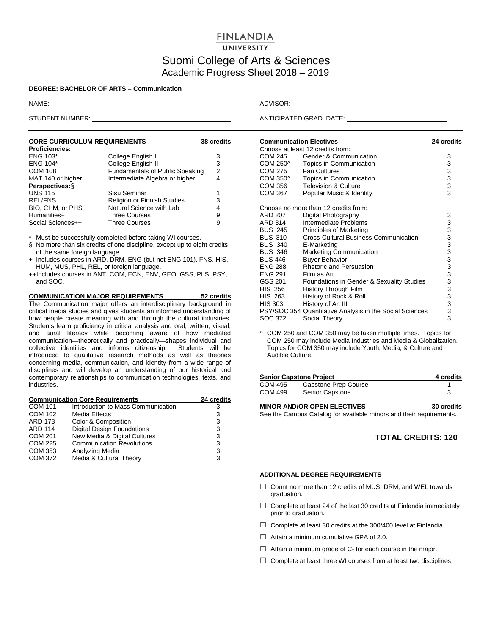## **FINLANDIA**

### UNIVERSITY

## Suomi College of Arts & Sciences Academic Progress Sheet 2018 – 2019

#### **DEGREE: BACHELOR OF ARTS – Communication**

| <b>CORE CURRICULUM REQUIREMENTS</b> | 38 credits                             |   |
|-------------------------------------|----------------------------------------|---|
| <b>Proficiencies:</b>               |                                        |   |
| <b>ENG 103*</b>                     | College English I                      | 3 |
| <b>ENG 104*</b>                     | College English II                     | 3 |
| <b>COM 108</b>                      | <b>Fundamentals of Public Speaking</b> | 2 |
| MAT 140 or higher                   | Intermediate Algebra or higher         | 4 |
| Perspectives: §                     |                                        |   |
| <b>UNS 115</b>                      | Sisu Seminar                           | 1 |
| <b>REL/FNS</b>                      | Religion or Finnish Studies            | 3 |
| BIO, CHM, or PHS                    | Natural Science with Lab               | 4 |
| Humanities+                         | <b>Three Courses</b>                   | 9 |
| Social Sciences++                   | <b>Three Courses</b>                   | 9 |

Must be successfully completed before taking WI courses.

- § No more than six credits of one discipline, except up to eight credits of the same foreign language.
- + Includes courses in ARD, DRM, ENG (but not ENG 101), FNS, HIS, HUM, MUS, PHL, REL, or foreign language.
- ++Includes courses in ANT, COM, ECN, ENV, GEO, GSS, PLS, PSY, and SOC.

**COMMUNICATION MAJOR REQUIREMENTS 52 credits** The Communication major offers an interdisciplinary background in critical media studies and gives students an informed understanding of how people create meaning with and through the cultural industries. Students learn proficiency in critical analysis and oral, written, visual, and aural literacy while becoming aware of how mediated communication—theoretically and practically—shapes individual and collective identities and informs citizenship. Students will be introduced to qualitative research methods as well as theories concerning media, communication, and identity from a wide range of disciplines and will develop an understanding of our historical and contemporary relationships to communication technologies, texts, and industries.

| <b>Communication Core Requirements</b> | 24 credits                         |   |
|----------------------------------------|------------------------------------|---|
| <b>COM 101</b>                         | Introduction to Mass Communication | 3 |
| <b>COM 102</b>                         | <b>Media Effects</b>               | 3 |
| <b>ARD 173</b>                         | Color & Composition                | 3 |
| <b>ARD 114</b>                         | <b>Digital Design Foundations</b>  | 3 |
| <b>COM 201</b>                         | New Media & Digital Cultures       | 3 |
| COM 225                                | <b>Communication Revolutions</b>   | 3 |
| COM 353                                | Analyzing Media                    | 3 |
| COM 372                                | Media & Cultural Theory            | 3 |
|                                        |                                    |   |

NAME: ADVISOR:

STUDENT NUMBER: ANTICIPATED GRAD. DATE:

| <b>Communication Electives</b>   | 24 credits                                               |                                                |  |  |  |
|----------------------------------|----------------------------------------------------------|------------------------------------------------|--|--|--|
| Choose at least 12 credits from: |                                                          |                                                |  |  |  |
| COM 245                          | Gender & Communication                                   | 3                                              |  |  |  |
| COM 250^                         | Topics in Communication                                  | 3                                              |  |  |  |
| COM 275                          | <b>Fan Cultures</b>                                      | $\begin{array}{c} 3 \\ 3 \\ 3 \end{array}$     |  |  |  |
| COM 350^                         | Topics in Communication                                  |                                                |  |  |  |
| COM 356                          | <b>Television &amp; Culture</b>                          |                                                |  |  |  |
| <b>COM 367</b>                   | Popular Music & Identity                                 |                                                |  |  |  |
|                                  | Choose no more than 12 credits from:                     |                                                |  |  |  |
| <b>ARD 207</b>                   | Digital Photography                                      | 3                                              |  |  |  |
| ARD 314                          | Intermediate Problems                                    | 3                                              |  |  |  |
| <b>BUS 245</b>                   | <b>Principles of Marketing</b>                           | 3                                              |  |  |  |
| <b>BUS 310</b>                   | <b>Cross-Cultural Business Communication</b>             | 3                                              |  |  |  |
| <b>BUS 340</b>                   | E-Marketing                                              | 3                                              |  |  |  |
| <b>BUS 346</b>                   | <b>Marketing Communication</b>                           | $\frac{3}{3}$                                  |  |  |  |
| <b>BUS 446</b>                   | <b>Buyer Behavior</b>                                    |                                                |  |  |  |
| <b>ENG 288</b>                   | <b>Rhetoric and Persuasion</b>                           | $\frac{3}{3}$                                  |  |  |  |
| <b>ENG 291</b>                   | Film as Art                                              |                                                |  |  |  |
| GSS 201                          | Foundations in Gender & Sexuality Studies                |                                                |  |  |  |
| HIS 256                          | History Through Film                                     |                                                |  |  |  |
| HIS 263                          | History of Rock & Roll                                   |                                                |  |  |  |
| HIS 303                          | History of Art III                                       |                                                |  |  |  |
|                                  | PSY/SOC 354 Quantitative Analysis in the Social Sciences | $\begin{array}{c}\n33 \\ 33 \\ 3\n\end{array}$ |  |  |  |
| SOC 372                          | Social Theory                                            |                                                |  |  |  |

^ COM 250 and COM 350 may be taken multiple times. Topics for COM 250 may include Media Industries and Media & Globalization. Topics for COM 350 may include Youth, Media, & Culture and Audible Culture.

| <b>Senior Capstone Project</b> | 4 credits                                                          |            |
|--------------------------------|--------------------------------------------------------------------|------------|
| COM 495                        | Capstone Prep Course                                               |            |
| COM 499                        | Senior Capstone                                                    | 3          |
|                                | <b>MINOR AND/OR OPEN ELECTIVES</b>                                 | 30 credits |
|                                | Cas the Campus Catalog for quailable miners and their requirements |            |

See the Campus Catalog for available minors and their requirements.

### **TOTAL CREDITS: 120**

#### **ADDITIONAL DEGREE REQUIREMENTS**

- $\Box$  Count no more than 12 credits of MUS, DRM, and WEL towards graduation.
- $\Box$  Complete at least 24 of the last 30 credits at Finlandia immediately prior to graduation.
- $\Box$  Complete at least 30 credits at the 300/400 level at Finlandia.
- $\Box$  Attain a minimum cumulative GPA of 2.0.
- $\Box$  Attain a minimum grade of C- for each course in the major.
- $\Box$  Complete at least three WI courses from at least two disciplines.